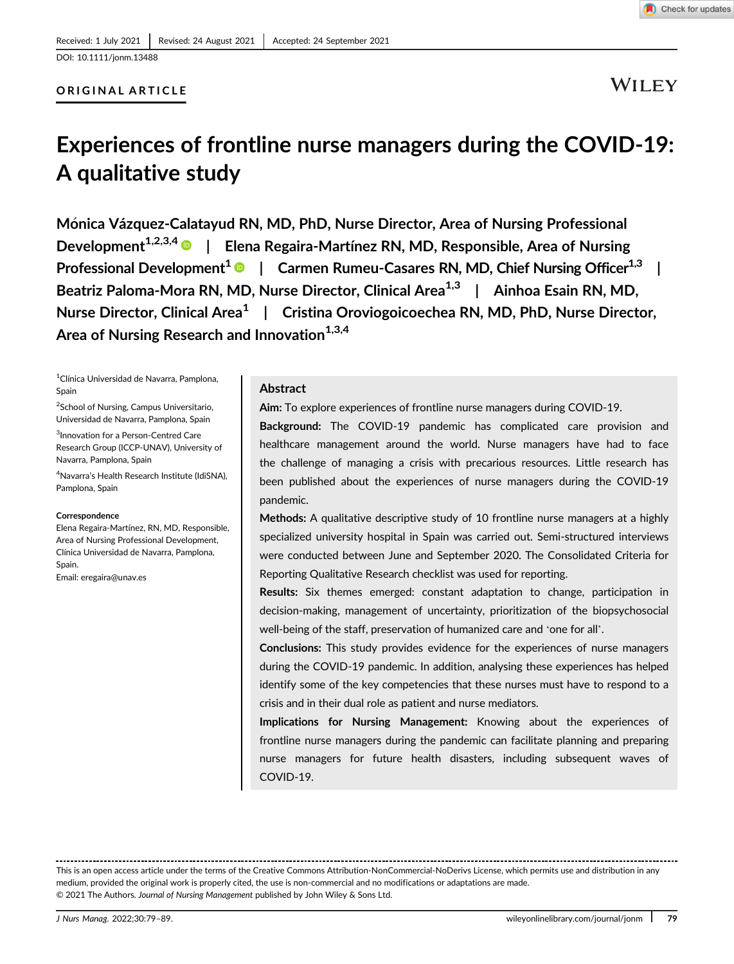## ORIGINAL ARTICLE

WILEY

Check for updates

# Experiences of frontline nurse managers during the COVID-19: A qualitative study

Monica Vázquez-Calatayud RN, MD, PhD, Nurse Director, Area of Nursing Professional Development<sup>1,2,3,4</sup> | Elena Regaira-Martínez RN, MD, Responsible, Area of Nursing Professional Development<sup>1</sup>  $\bullet$  | Carmen Rumeu-Casares RN, MD, Chief Nursing Officer<sup>1,3</sup> | Beatriz Paloma-Mora RN, MD, Nurse Director, Clinical Area<sup>1,3</sup> | Ainhoa Esain RN, MD, Nurse Director, Clinical Area<sup>1</sup> | Cristina Oroviogoicoechea RN, MD, PhD, Nurse Director, Area of Nursing Research and Innovation<sup>1,3,4</sup>

1 Clínica Universidad de Navarra, Pamplona, Spain

<sup>2</sup>School of Nursing, Campus Universitario, Universidad de Navarra, Pamplona, Spain

3 Innovation for a Person-Centred Care Research Group (ICCP-UNAV), University of Navarra, Pamplona, Spain

4 Navarra's Health Research Institute (IdiSNA), Pamplona, Spain

#### **Correspondence**

Elena Regaira-Martínez, RN, MD, Responsible, Area of Nursing Professional Development, Clínica Universidad de Navarra, Pamplona, Spain. Email: [eregaira@unav.es](mailto:eregaira@unav.es)

### Abstract

Aim: To explore experiences of frontline nurse managers during COVID-19.

Background: The COVID-19 pandemic has complicated care provision and healthcare management around the world. Nurse managers have had to face the challenge of managing a crisis with precarious resources. Little research has been published about the experiences of nurse managers during the COVID-19 pandemic.

Methods: A qualitative descriptive study of 10 frontline nurse managers at a highly specialized university hospital in Spain was carried out. Semi-structured interviews were conducted between June and September 2020. The Consolidated Criteria for Reporting Qualitative Research checklist was used for reporting.

Results: Six themes emerged: constant adaptation to change, participation in decision-making, management of uncertainty, prioritization of the biopsychosocial well-being of the staff, preservation of humanized care and 'one for all'.

Conclusions: This study provides evidence for the experiences of nurse managers during the COVID-19 pandemic. In addition, analysing these experiences has helped identify some of the key competencies that these nurses must have to respond to a crisis and in their dual role as patient and nurse mediators.

Implications for Nursing Management: Knowing about the experiences of frontline nurse managers during the pandemic can facilitate planning and preparing nurse managers for future health disasters, including subsequent waves of COVID-19.

This is an open access article under the terms of the [Creative Commons Attribution-NonCommercial-NoDerivs](http://creativecommons.org/licenses/by-nc-nd/4.0/) License, which permits use and distribution in any medium, provided the original work is properly cited, the use is non-commercial and no modifications or adaptations are made. © 2021 The Authors. Journal of Nursing Management published by John Wiley & Sons Ltd.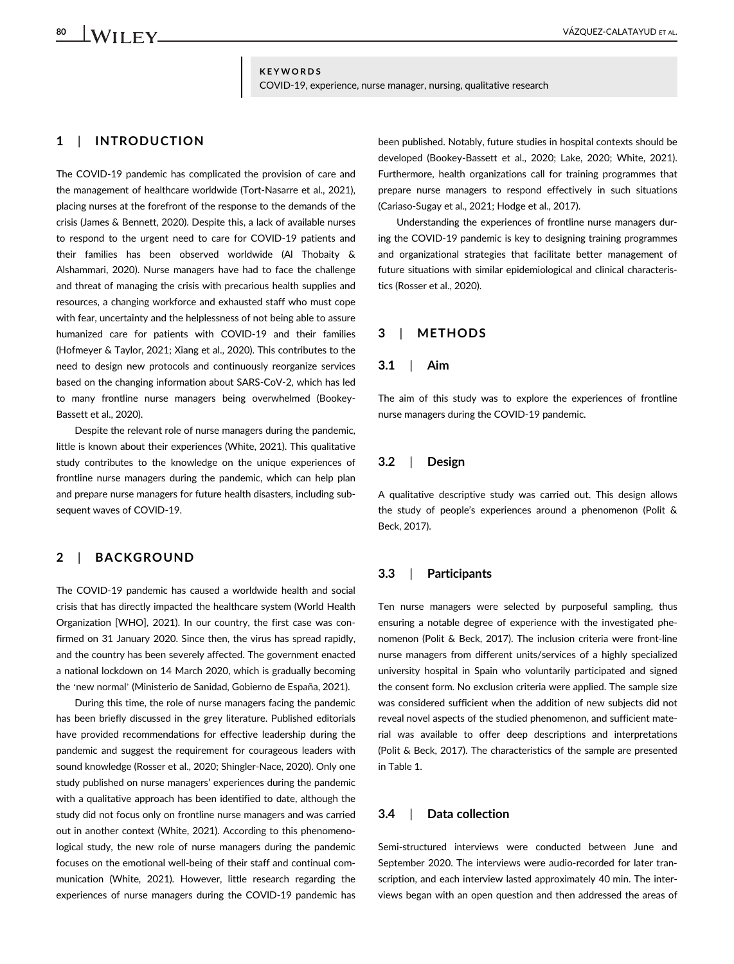$\perp_{\mathsf{WII}}$  if  $_{\mathsf{Y}}$  ,  $_{\mathsf{WII}}$  if  $_{\mathsf{WII}}$ 

## KEYWORDS COVID-19, experience, nurse manager, nursing, qualitative research

## 1 | INTRODUCTION

The COVID-19 pandemic has complicated the provision of care and the management of healthcare worldwide (Tort-Nasarre et al., 2021), placing nurses at the forefront of the response to the demands of the crisis (James & Bennett, 2020). Despite this, a lack of available nurses to respond to the urgent need to care for COVID-19 patients and their families has been observed worldwide (Al Thobaity & Alshammari, 2020). Nurse managers have had to face the challenge and threat of managing the crisis with precarious health supplies and resources, a changing workforce and exhausted staff who must cope with fear, uncertainty and the helplessness of not being able to assure humanized care for patients with COVID-19 and their families (Hofmeyer & Taylor, 2021; Xiang et al., 2020). This contributes to the need to design new protocols and continuously reorganize services based on the changing information about SARS-CoV-2, which has led to many frontline nurse managers being overwhelmed (Bookey-Bassett et al., 2020).

Despite the relevant role of nurse managers during the pandemic, little is known about their experiences (White, 2021). This qualitative study contributes to the knowledge on the unique experiences of frontline nurse managers during the pandemic, which can help plan and prepare nurse managers for future health disasters, including subsequent waves of COVID-19.

## 2 | BACKGROUND

The COVID-19 pandemic has caused a worldwide health and social crisis that has directly impacted the healthcare system (World Health Organization [WHO], 2021). In our country, the first case was confirmed on 31 January 2020. Since then, the virus has spread rapidly, and the country has been severely affected. The government enacted a national lockdown on 14 March 2020, which is gradually becoming the 'new normal' (Ministerio de Sanidad, Gobierno de España, 2021).

During this time, the role of nurse managers facing the pandemic has been briefly discussed in the grey literature. Published editorials have provided recommendations for effective leadership during the pandemic and suggest the requirement for courageous leaders with sound knowledge (Rosser et al., 2020; Shingler-Nace, 2020). Only one study published on nurse managers' experiences during the pandemic with a qualitative approach has been identified to date, although the study did not focus only on frontline nurse managers and was carried out in another context (White, 2021). According to this phenomenological study, the new role of nurse managers during the pandemic focuses on the emotional well-being of their staff and continual communication (White, 2021). However, little research regarding the experiences of nurse managers during the COVID-19 pandemic has

been published. Notably, future studies in hospital contexts should be developed (Bookey-Bassett et al., 2020; Lake, 2020; White, 2021). Furthermore, health organizations call for training programmes that prepare nurse managers to respond effectively in such situations (Cariaso-Sugay et al., 2021; Hodge et al., 2017).

Understanding the experiences of frontline nurse managers during the COVID-19 pandemic is key to designing training programmes and organizational strategies that facilitate better management of future situations with similar epidemiological and clinical characteristics (Rosser et al., 2020).

## 3 | METHODS

## 3.1 | Aim

The aim of this study was to explore the experiences of frontline nurse managers during the COVID-19 pandemic.

## 3.2 | Design

A qualitative descriptive study was carried out. This design allows the study of people's experiences around a phenomenon (Polit & Beck, 2017).

## 3.3 | Participants

Ten nurse managers were selected by purposeful sampling, thus ensuring a notable degree of experience with the investigated phenomenon (Polit & Beck, 2017). The inclusion criteria were front-line nurse managers from different units/services of a highly specialized university hospital in Spain who voluntarily participated and signed the consent form. No exclusion criteria were applied. The sample size was considered sufficient when the addition of new subjects did not reveal novel aspects of the studied phenomenon, and sufficient material was available to offer deep descriptions and interpretations (Polit & Beck, 2017). The characteristics of the sample are presented in Table 1.

## 3.4 | Data collection

Semi-structured interviews were conducted between June and September 2020. The interviews were audio-recorded for later transcription, and each interview lasted approximately 40 min. The interviews began with an open question and then addressed the areas of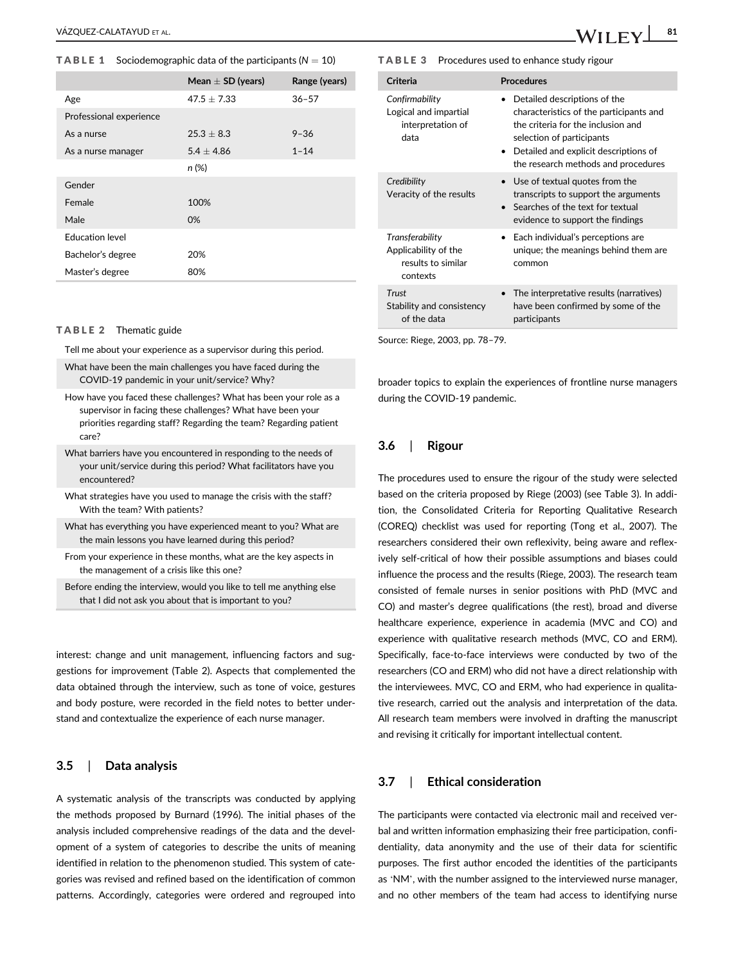#### **TABLE 1** Sociodemographic data of the participants ( $N = 10$ )

|                         | Mean $\pm$ SD (years) | Range (years) |
|-------------------------|-----------------------|---------------|
| Age                     | $47.5 \pm 7.33$       | $36 - 57$     |
| Professional experience |                       |               |
| As a nurse              | $25.3 + 8.3$          | $9 - 36$      |
| As a nurse manager      | $5.4 + 4.86$          | $1 - 14$      |
|                         | n (%)                 |               |
| Gender                  |                       |               |
| Female                  | 100%                  |               |
| Male                    | 0%                    |               |
| <b>Education level</b>  |                       |               |
| Bachelor's degree       | 20%                   |               |
| Master's degree         | 80%                   |               |

#### TABLE 2 Thematic guide

Tell me about your experience as a supervisor during this period.

- What have been the main challenges you have faced during the COVID-19 pandemic in your unit/service? Why?
- How have you faced these challenges? What has been your role as a supervisor in facing these challenges? What have been your priorities regarding staff? Regarding the team? Regarding patient care?
- What barriers have you encountered in responding to the needs of your unit/service during this period? What facilitators have you encountered?
- What strategies have you used to manage the crisis with the staff? With the team? With patients?
- What has everything you have experienced meant to you? What are the main lessons you have learned during this period?
- From your experience in these months, what are the key aspects in the management of a crisis like this one?
- Before ending the interview, would you like to tell me anything else that I did not ask you about that is important to you?

interest: change and unit management, influencing factors and suggestions for improvement (Table 2). Aspects that complemented the data obtained through the interview, such as tone of voice, gestures and body posture, were recorded in the field notes to better understand and contextualize the experience of each nurse manager.

## 3.5 | Data analysis

A systematic analysis of the transcripts was conducted by applying the methods proposed by Burnard (1996). The initial phases of the analysis included comprehensive readings of the data and the development of a system of categories to describe the units of meaning identified in relation to the phenomenon studied. This system of categories was revised and refined based on the identification of common patterns. Accordingly, categories were ordered and regrouped into

TABLE 3 Procedures used to enhance study rigour

| Criteria                                                                  | <b>Procedures</b>                                                                                                                                                                                                                       |  |
|---------------------------------------------------------------------------|-----------------------------------------------------------------------------------------------------------------------------------------------------------------------------------------------------------------------------------------|--|
| Confirmability<br>Logical and impartial<br>interpretation of<br>data      | Detailed descriptions of the<br>characteristics of the participants and<br>the criteria for the inclusion and<br>selection of participants<br>Detailed and explicit descriptions of<br>$\bullet$<br>the research methods and procedures |  |
| Credibility<br>Veracity of the results                                    | • Use of textual quotes from the<br>transcripts to support the arguments<br>Searches of the text for textual<br>evidence to support the findings                                                                                        |  |
| Transferability<br>Applicability of the<br>results to similar<br>contexts | Each individual's perceptions are<br>unique; the meanings behind them are<br>common                                                                                                                                                     |  |
| Trust<br>Stability and consistency<br>of the data                         | The interpretative results (narratives)<br>have been confirmed by some of the<br>participants                                                                                                                                           |  |

Source: Riege, 2003, pp. 78–79.

broader topics to explain the experiences of frontline nurse managers during the COVID-19 pandemic.

## 3.6 | Rigour

The procedures used to ensure the rigour of the study were selected based on the criteria proposed by Riege (2003) (see Table 3). In addition, the Consolidated Criteria for Reporting Qualitative Research (COREQ) checklist was used for reporting (Tong et al., 2007). The researchers considered their own reflexivity, being aware and reflexively self-critical of how their possible assumptions and biases could influence the process and the results (Riege, 2003). The research team consisted of female nurses in senior positions with PhD (MVC and CO) and master's degree qualifications (the rest), broad and diverse healthcare experience, experience in academia (MVC and CO) and experience with qualitative research methods (MVC, CO and ERM). Specifically, face-to-face interviews were conducted by two of the researchers (CO and ERM) who did not have a direct relationship with the interviewees. MVC, CO and ERM, who had experience in qualitative research, carried out the analysis and interpretation of the data. All research team members were involved in drafting the manuscript and revising it critically for important intellectual content.

## 3.7 | Ethical consideration

The participants were contacted via electronic mail and received verbal and written information emphasizing their free participation, confidentiality, data anonymity and the use of their data for scientific purposes. The first author encoded the identities of the participants as 'NM', with the number assigned to the interviewed nurse manager, and no other members of the team had access to identifying nurse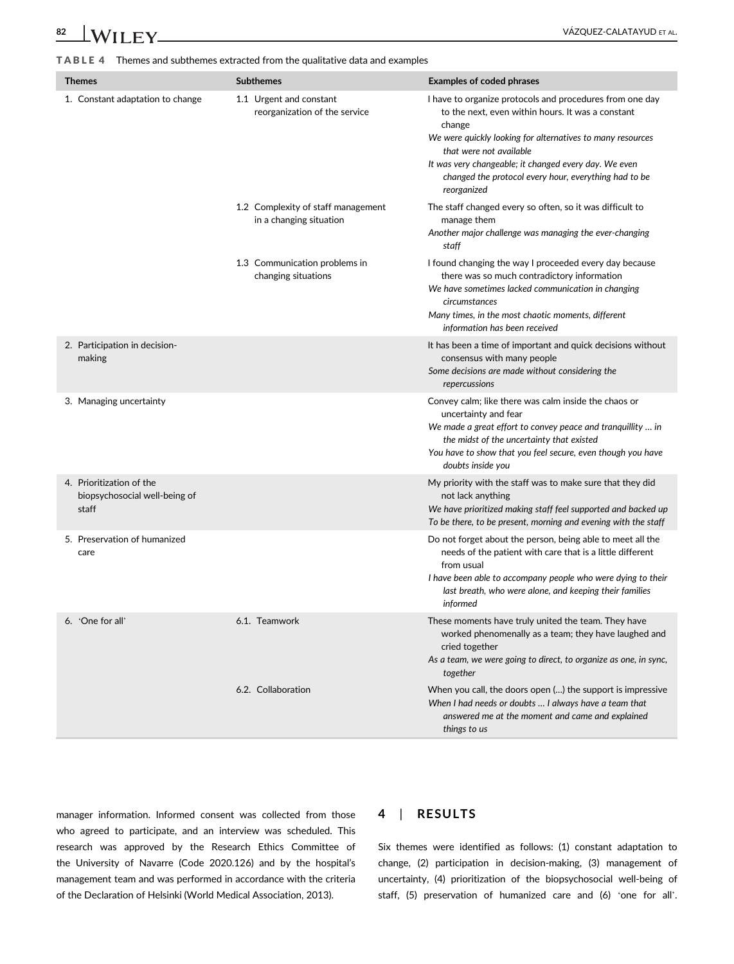# 82 WILEY WILEY **WELL AND A CONSUMING THE VALUE ALL AND REAL**

TABLE 4 Themes and subthemes extracted from the qualitative data and examples

| <b>Themes</b>                                                      | <b>Subthemes</b>                                              | <b>Examples of coded phrases</b>                                                                                                                                                                                                                                                                                                                  |
|--------------------------------------------------------------------|---------------------------------------------------------------|---------------------------------------------------------------------------------------------------------------------------------------------------------------------------------------------------------------------------------------------------------------------------------------------------------------------------------------------------|
| 1. Constant adaptation to change                                   | 1.1 Urgent and constant<br>reorganization of the service      | I have to organize protocols and procedures from one day<br>to the next, even within hours. It was a constant<br>change<br>We were quickly looking for alternatives to many resources<br>that were not available<br>It was very changeable; it changed every day. We even<br>changed the protocol every hour, everything had to be<br>reorganized |
|                                                                    | 1.2 Complexity of staff management<br>in a changing situation | The staff changed every so often, so it was difficult to<br>manage them<br>Another major challenge was managing the ever-changing<br>staff                                                                                                                                                                                                        |
|                                                                    | 1.3 Communication problems in<br>changing situations          | I found changing the way I proceeded every day because<br>there was so much contradictory information<br>We have sometimes lacked communication in changing<br>circumstances<br>Many times, in the most chaotic moments, different<br>information has been received                                                                               |
| 2. Participation in decision-<br>making                            |                                                               | It has been a time of important and quick decisions without<br>consensus with many people<br>Some decisions are made without considering the<br>repercussions                                                                                                                                                                                     |
| 3. Managing uncertainty                                            |                                                               | Convey calm; like there was calm inside the chaos or<br>uncertainty and fear<br>We made a great effort to convey peace and tranquillity  in<br>the midst of the uncertainty that existed<br>You have to show that you feel secure, even though you have<br>doubts inside you                                                                      |
| 4. Prioritization of the<br>biopsychosocial well-being of<br>staff |                                                               | My priority with the staff was to make sure that they did<br>not lack anything<br>We have prioritized making staff feel supported and backed up<br>To be there, to be present, morning and evening with the staff                                                                                                                                 |
| 5. Preservation of humanized<br>care                               |                                                               | Do not forget about the person, being able to meet all the<br>needs of the patient with care that is a little different<br>from usual<br>I have been able to accompany people who were dying to their<br>last breath, who were alone, and keeping their families<br>informed                                                                      |
| 6. 'One for all'                                                   | 6.1. Teamwork                                                 | These moments have truly united the team. They have<br>worked phenomenally as a team; they have laughed and<br>cried together<br>As a team, we were going to direct, to organize as one, in sync,<br>together                                                                                                                                     |
|                                                                    | 6.2. Collaboration                                            | When you call, the doors open () the support is impressive<br>When I had needs or doubts  I always have a team that<br>answered me at the moment and came and explained<br>things to us                                                                                                                                                           |

manager information. Informed consent was collected from those who agreed to participate, and an interview was scheduled. This research was approved by the Research Ethics Committee of the University of Navarre (Code 2020.126) and by the hospital's management team and was performed in accordance with the criteria of the Declaration of Helsinki (World Medical Association, 2013).

## 4 | RESULTS

Six themes were identified as follows: (1) constant adaptation to change, (2) participation in decision-making, (3) management of uncertainty, (4) prioritization of the biopsychosocial well-being of staff, (5) preservation of humanized care and (6) 'one for all'.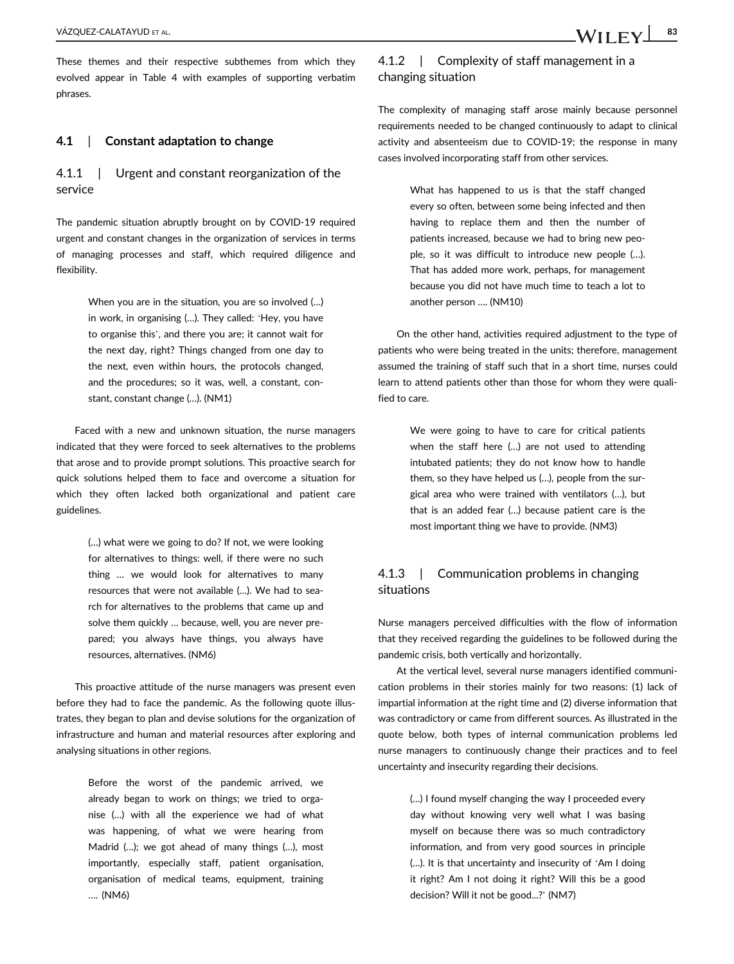These themes and their respective subthemes from which they evolved appear in Table 4 with examples of supporting verbatim phrases.

## 4.1 | Constant adaptation to change

4.1.1 | Urgent and constant reorganization of the service

The pandemic situation abruptly brought on by COVID-19 required urgent and constant changes in the organization of services in terms of managing processes and staff, which required diligence and flexibility.

> When you are in the situation, you are so involved (…) in work, in organising (…). They called: 'Hey, you have to organise this', and there you are; it cannot wait for the next day, right? Things changed from one day to the next, even within hours, the protocols changed, and the procedures; so it was, well, a constant, constant, constant change (…). (NM1)

Faced with a new and unknown situation, the nurse managers indicated that they were forced to seek alternatives to the problems that arose and to provide prompt solutions. This proactive search for quick solutions helped them to face and overcome a situation for which they often lacked both organizational and patient care guidelines.

> (…) what were we going to do? If not, we were looking for alternatives to things: well, if there were no such thing … we would look for alternatives to many resources that were not available (…). We had to search for alternatives to the problems that came up and solve them quickly … because, well, you are never prepared; you always have things, you always have resources, alternatives. (NM6)

This proactive attitude of the nurse managers was present even before they had to face the pandemic. As the following quote illustrates, they began to plan and devise solutions for the organization of infrastructure and human and material resources after exploring and analysing situations in other regions.

> Before the worst of the pandemic arrived, we already began to work on things; we tried to organise (…) with all the experience we had of what was happening, of what we were hearing from Madrid (…); we got ahead of many things (…), most importantly, especially staff, patient organisation, organisation of medical teams, equipment, training …. (NM6)

# 4.1.2 | Complexity of staff management in a changing situation

The complexity of managing staff arose mainly because personnel requirements needed to be changed continuously to adapt to clinical activity and absenteeism due to COVID-19; the response in many cases involved incorporating staff from other services.

> What has happened to us is that the staff changed every so often, between some being infected and then having to replace them and then the number of patients increased, because we had to bring new people, so it was difficult to introduce new people (…). That has added more work, perhaps, for management because you did not have much time to teach a lot to another person …. (NM10)

On the other hand, activities required adjustment to the type of patients who were being treated in the units; therefore, management assumed the training of staff such that in a short time, nurses could learn to attend patients other than those for whom they were qualified to care.

> We were going to have to care for critical patients when the staff here (…) are not used to attending intubated patients; they do not know how to handle them, so they have helped us (…), people from the surgical area who were trained with ventilators (…), but that is an added fear (…) because patient care is the most important thing we have to provide. (NM3)

## 4.1.3 | Communication problems in changing situations

Nurse managers perceived difficulties with the flow of information that they received regarding the guidelines to be followed during the pandemic crisis, both vertically and horizontally.

At the vertical level, several nurse managers identified communication problems in their stories mainly for two reasons: (1) lack of impartial information at the right time and (2) diverse information that was contradictory or came from different sources. As illustrated in the quote below, both types of internal communication problems led nurse managers to continuously change their practices and to feel uncertainty and insecurity regarding their decisions.

> (…) I found myself changing the way I proceeded every day without knowing very well what I was basing myself on because there was so much contradictory information, and from very good sources in principle (…). It is that uncertainty and insecurity of 'Am I doing it right? Am I not doing it right? Will this be a good decision? Will it not be good...?' (NM7)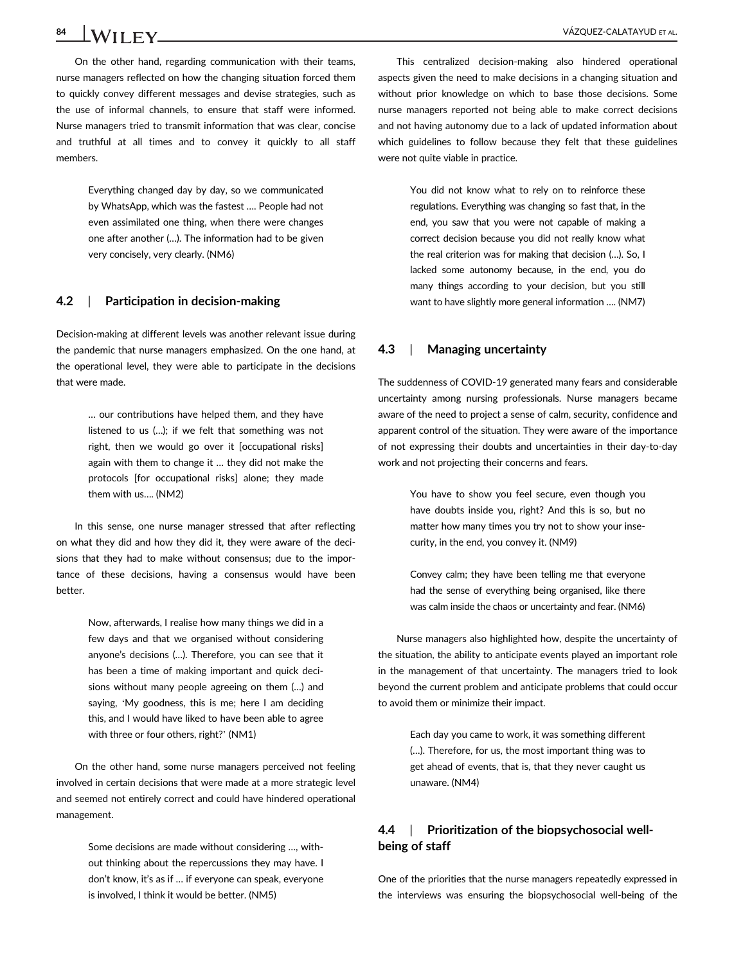On the other hand, regarding communication with their teams, nurse managers reflected on how the changing situation forced them to quickly convey different messages and devise strategies, such as the use of informal channels, to ensure that staff were informed. Nurse managers tried to transmit information that was clear, concise and truthful at all times and to convey it quickly to all staff members.

> Everything changed day by day, so we communicated by WhatsApp, which was the fastest …. People had not even assimilated one thing, when there were changes one after another (…). The information had to be given very concisely, very clearly. (NM6)

## 4.2 | Participation in decision-making

Decision-making at different levels was another relevant issue during the pandemic that nurse managers emphasized. On the one hand, at the operational level, they were able to participate in the decisions that were made.

> … our contributions have helped them, and they have listened to us (…); if we felt that something was not right, then we would go over it [occupational risks] again with them to change it … they did not make the protocols [for occupational risks] alone; they made them with us…. (NM2)

In this sense, one nurse manager stressed that after reflecting on what they did and how they did it, they were aware of the decisions that they had to make without consensus; due to the importance of these decisions, having a consensus would have been better.

> Now, afterwards, I realise how many things we did in a few days and that we organised without considering anyone's decisions (…). Therefore, you can see that it has been a time of making important and quick decisions without many people agreeing on them (…) and saying, 'My goodness, this is me; here I am deciding this, and I would have liked to have been able to agree with three or four others, right?' (NM1)

On the other hand, some nurse managers perceived not feeling involved in certain decisions that were made at a more strategic level and seemed not entirely correct and could have hindered operational management.

> Some decisions are made without considering …, without thinking about the repercussions they may have. I don't know, it's as if … if everyone can speak, everyone is involved, I think it would be better. (NM5)

This centralized decision-making also hindered operational aspects given the need to make decisions in a changing situation and without prior knowledge on which to base those decisions. Some nurse managers reported not being able to make correct decisions and not having autonomy due to a lack of updated information about which guidelines to follow because they felt that these guidelines were not quite viable in practice.

> You did not know what to rely on to reinforce these regulations. Everything was changing so fast that, in the end, you saw that you were not capable of making a correct decision because you did not really know what the real criterion was for making that decision (…). So, I lacked some autonomy because, in the end, you do many things according to your decision, but you still want to have slightly more general information …. (NM7)

#### 4.3 | Managing uncertainty

The suddenness of COVID-19 generated many fears and considerable uncertainty among nursing professionals. Nurse managers became aware of the need to project a sense of calm, security, confidence and apparent control of the situation. They were aware of the importance of not expressing their doubts and uncertainties in their day-to-day work and not projecting their concerns and fears.

> You have to show you feel secure, even though you have doubts inside you, right? And this is so, but no matter how many times you try not to show your insecurity, in the end, you convey it. (NM9)

> Convey calm; they have been telling me that everyone had the sense of everything being organised, like there was calm inside the chaos or uncertainty and fear. (NM6)

Nurse managers also highlighted how, despite the uncertainty of the situation, the ability to anticipate events played an important role in the management of that uncertainty. The managers tried to look beyond the current problem and anticipate problems that could occur to avoid them or minimize their impact.

> Each day you came to work, it was something different (…). Therefore, for us, the most important thing was to get ahead of events, that is, that they never caught us unaware. (NM4)

# 4.4 | Prioritization of the biopsychosocial wellbeing of staff

One of the priorities that the nurse managers repeatedly expressed in the interviews was ensuring the biopsychosocial well-being of the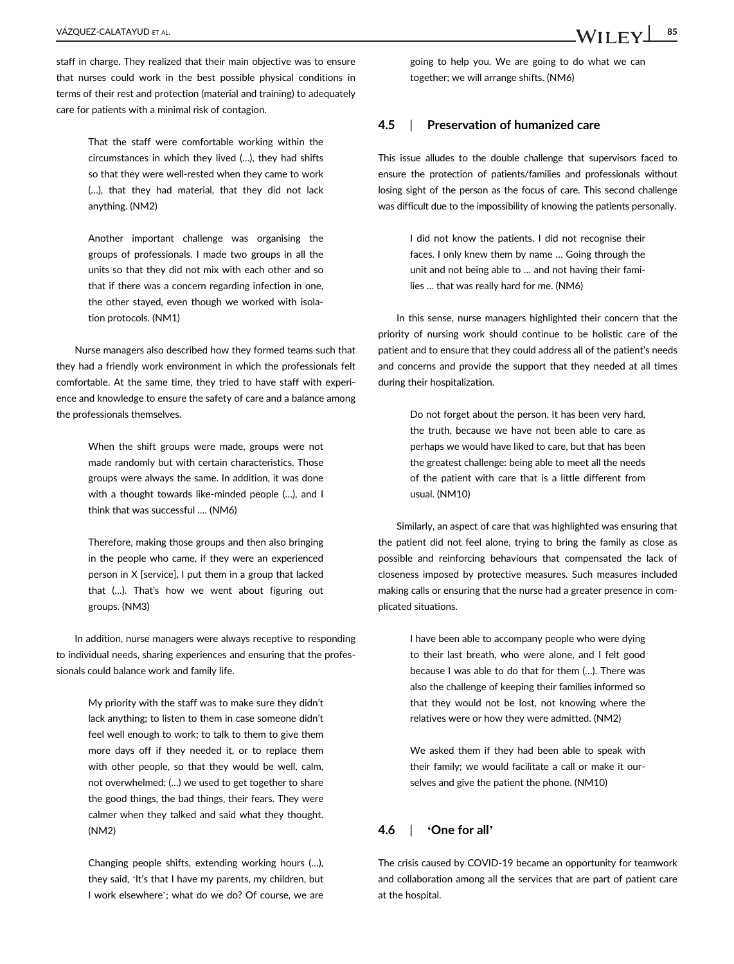staff in charge. They realized that their main objective was to ensure that nurses could work in the best possible physical conditions in terms of their rest and protection (material and training) to adequately care for patients with a minimal risk of contagion.

> That the staff were comfortable working within the circumstances in which they lived (…), they had shifts so that they were well-rested when they came to work (…), that they had material, that they did not lack anything. (NM2)

> Another important challenge was organising the groups of professionals. I made two groups in all the units so that they did not mix with each other and so that if there was a concern regarding infection in one, the other stayed, even though we worked with isolation protocols. (NM1)

Nurse managers also described how they formed teams such that they had a friendly work environment in which the professionals felt comfortable. At the same time, they tried to have staff with experience and knowledge to ensure the safety of care and a balance among the professionals themselves.

> When the shift groups were made, groups were not made randomly but with certain characteristics. Those groups were always the same. In addition, it was done with a thought towards like-minded people (…), and I think that was successful …. (NM6)

> Therefore, making those groups and then also bringing in the people who came, if they were an experienced person in X [service], I put them in a group that lacked that (…). That's how we went about figuring out groups. (NM3)

In addition, nurse managers were always receptive to responding to individual needs, sharing experiences and ensuring that the professionals could balance work and family life.

> My priority with the staff was to make sure they didn't lack anything; to listen to them in case someone didn't feel well enough to work; to talk to them to give them more days off if they needed it, or to replace them with other people, so that they would be well, calm, not overwhelmed; (…) we used to get together to share the good things, the bad things, their fears. They were calmer when they talked and said what they thought. (NM2)

Changing people shifts, extending working hours (…), they said, 'It's that I have my parents, my children, but I work elsewhere'; what do we do? Of course, we are

going to help you. We are going to do what we can together; we will arrange shifts. (NM6)

## 4.5 | Preservation of humanized care

This issue alludes to the double challenge that supervisors faced to ensure the protection of patients/families and professionals without losing sight of the person as the focus of care. This second challenge was difficult due to the impossibility of knowing the patients personally.

> I did not know the patients. I did not recognise their faces. I only knew them by name … Going through the unit and not being able to … and not having their families … that was really hard for me. (NM6)

In this sense, nurse managers highlighted their concern that the priority of nursing work should continue to be holistic care of the patient and to ensure that they could address all of the patient's needs and concerns and provide the support that they needed at all times during their hospitalization.

> Do not forget about the person. It has been very hard, the truth, because we have not been able to care as perhaps we would have liked to care, but that has been the greatest challenge: being able to meet all the needs of the patient with care that is a little different from usual. (NM10)

Similarly, an aspect of care that was highlighted was ensuring that the patient did not feel alone, trying to bring the family as close as possible and reinforcing behaviours that compensated the lack of closeness imposed by protective measures. Such measures included making calls or ensuring that the nurse had a greater presence in complicated situations.

> I have been able to accompany people who were dying to their last breath, who were alone, and I felt good because I was able to do that for them (…). There was also the challenge of keeping their families informed so that they would not be lost, not knowing where the relatives were or how they were admitted. (NM2)

> We asked them if they had been able to speak with their family; we would facilitate a call or make it ourselves and give the patient the phone. (NM10)

## 4.6 | 'One for all'

The crisis caused by COVID-19 became an opportunity for teamwork and collaboration among all the services that are part of patient care at the hospital.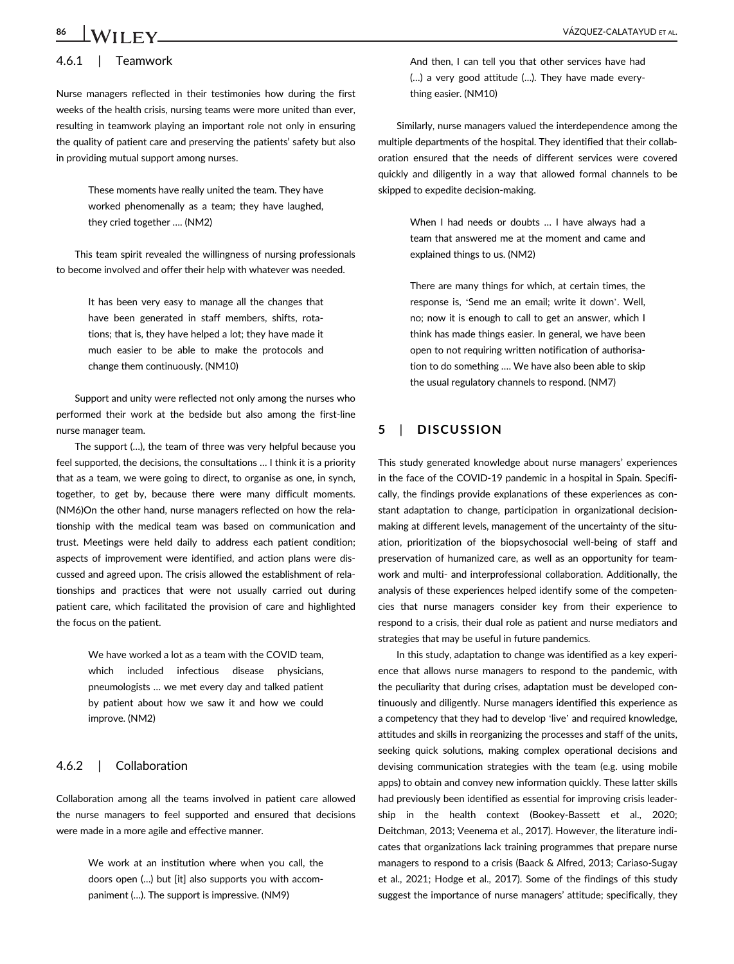# 4.6.1 | Teamwork

Nurse managers reflected in their testimonies how during the first weeks of the health crisis, nursing teams were more united than ever, resulting in teamwork playing an important role not only in ensuring the quality of patient care and preserving the patients' safety but also in providing mutual support among nurses.

> These moments have really united the team. They have worked phenomenally as a team; they have laughed, they cried together …. (NM2)

This team spirit revealed the willingness of nursing professionals to become involved and offer their help with whatever was needed.

> It has been very easy to manage all the changes that have been generated in staff members, shifts, rotations; that is, they have helped a lot; they have made it much easier to be able to make the protocols and change them continuously. (NM10)

Support and unity were reflected not only among the nurses who performed their work at the bedside but also among the first-line nurse manager team.

The support (…), the team of three was very helpful because you feel supported, the decisions, the consultations … I think it is a priority that as a team, we were going to direct, to organise as one, in synch, together, to get by, because there were many difficult moments. (NM6)On the other hand, nurse managers reflected on how the relationship with the medical team was based on communication and trust. Meetings were held daily to address each patient condition; aspects of improvement were identified, and action plans were discussed and agreed upon. The crisis allowed the establishment of relationships and practices that were not usually carried out during patient care, which facilitated the provision of care and highlighted the focus on the patient.

> We have worked a lot as a team with the COVID team, which included infectious disease physicians, pneumologists … we met every day and talked patient by patient about how we saw it and how we could improve. (NM2)

## 4.6.2 | Collaboration

Collaboration among all the teams involved in patient care allowed the nurse managers to feel supported and ensured that decisions were made in a more agile and effective manner.

> We work at an institution where when you call, the doors open (…) but [it] also supports you with accompaniment (…). The support is impressive. (NM9)

And then, I can tell you that other services have had (…) a very good attitude (…). They have made everything easier. (NM10)

Similarly, nurse managers valued the interdependence among the multiple departments of the hospital. They identified that their collaboration ensured that the needs of different services were covered quickly and diligently in a way that allowed formal channels to be skipped to expedite decision-making.

> When I had needs or doubts ... I have always had a team that answered me at the moment and came and explained things to us. (NM2)

> There are many things for which, at certain times, the response is, 'Send me an email; write it down'. Well, no; now it is enough to call to get an answer, which I think has made things easier. In general, we have been open to not requiring written notification of authorisation to do something …. We have also been able to skip the usual regulatory channels to respond. (NM7)

# 5 | DISCUSSION

This study generated knowledge about nurse managers' experiences in the face of the COVID-19 pandemic in a hospital in Spain. Specifically, the findings provide explanations of these experiences as constant adaptation to change, participation in organizational decisionmaking at different levels, management of the uncertainty of the situation, prioritization of the biopsychosocial well-being of staff and preservation of humanized care, as well as an opportunity for teamwork and multi- and interprofessional collaboration. Additionally, the analysis of these experiences helped identify some of the competencies that nurse managers consider key from their experience to respond to a crisis, their dual role as patient and nurse mediators and strategies that may be useful in future pandemics.

In this study, adaptation to change was identified as a key experience that allows nurse managers to respond to the pandemic, with the peculiarity that during crises, adaptation must be developed continuously and diligently. Nurse managers identified this experience as a competency that they had to develop 'live' and required knowledge, attitudes and skills in reorganizing the processes and staff of the units, seeking quick solutions, making complex operational decisions and devising communication strategies with the team (e.g. using mobile apps) to obtain and convey new information quickly. These latter skills had previously been identified as essential for improving crisis leadership in the health context (Bookey-Bassett et al., 2020; Deitchman, 2013; Veenema et al., 2017). However, the literature indicates that organizations lack training programmes that prepare nurse managers to respond to a crisis (Baack & Alfred, 2013; Cariaso-Sugay et al., 2021; Hodge et al., 2017). Some of the findings of this study suggest the importance of nurse managers' attitude; specifically, they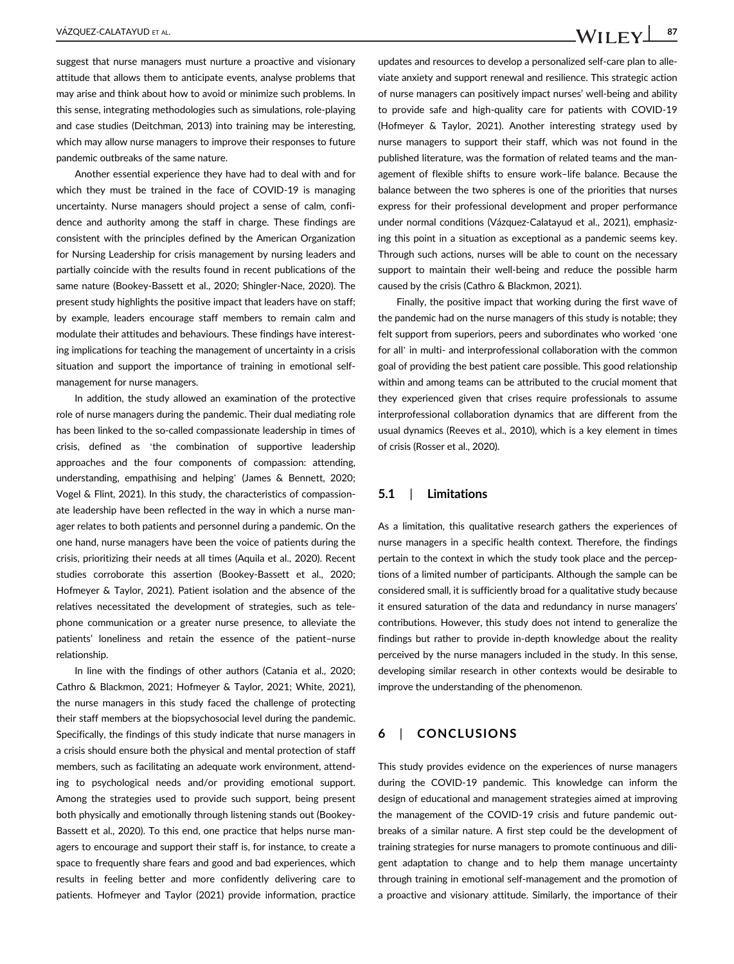suggest that nurse managers must nurture a proactive and visionary attitude that allows them to anticipate events, analyse problems that may arise and think about how to avoid or minimize such problems. In this sense, integrating methodologies such as simulations, role-playing and case studies (Deitchman, 2013) into training may be interesting, which may allow nurse managers to improve their responses to future pandemic outbreaks of the same nature.

Another essential experience they have had to deal with and for which they must be trained in the face of COVID-19 is managing uncertainty. Nurse managers should project a sense of calm, confidence and authority among the staff in charge. These findings are consistent with the principles defined by the American Organization for Nursing Leadership for crisis management by nursing leaders and partially coincide with the results found in recent publications of the same nature (Bookey-Bassett et al., 2020; Shingler-Nace, 2020). The present study highlights the positive impact that leaders have on staff; by example, leaders encourage staff members to remain calm and modulate their attitudes and behaviours. These findings have interesting implications for teaching the management of uncertainty in a crisis situation and support the importance of training in emotional selfmanagement for nurse managers.

In addition, the study allowed an examination of the protective role of nurse managers during the pandemic. Their dual mediating role has been linked to the so-called compassionate leadership in times of crisis, defined as 'the combination of supportive leadership approaches and the four components of compassion: attending, understanding, empathising and helping' (James & Bennett, 2020; Vogel & Flint, 2021). In this study, the characteristics of compassionate leadership have been reflected in the way in which a nurse manager relates to both patients and personnel during a pandemic. On the one hand, nurse managers have been the voice of patients during the crisis, prioritizing their needs at all times (Aquila et al., 2020). Recent studies corroborate this assertion (Bookey-Bassett et al., 2020; Hofmeyer & Taylor, 2021). Patient isolation and the absence of the relatives necessitated the development of strategies, such as telephone communication or a greater nurse presence, to alleviate the patients' loneliness and retain the essence of the patient–nurse relationship.

In line with the findings of other authors (Catania et al., 2020; Cathro & Blackmon, 2021; Hofmeyer & Taylor, 2021; White, 2021), the nurse managers in this study faced the challenge of protecting their staff members at the biopsychosocial level during the pandemic. Specifically, the findings of this study indicate that nurse managers in a crisis should ensure both the physical and mental protection of staff members, such as facilitating an adequate work environment, attending to psychological needs and/or providing emotional support. Among the strategies used to provide such support, being present both physically and emotionally through listening stands out (Bookey-Bassett et al., 2020). To this end, one practice that helps nurse managers to encourage and support their staff is, for instance, to create a space to frequently share fears and good and bad experiences, which results in feeling better and more confidently delivering care to patients. Hofmeyer and Taylor (2021) provide information, practice

updates and resources to develop a personalized self-care plan to alleviate anxiety and support renewal and resilience. This strategic action of nurse managers can positively impact nurses' well-being and ability to provide safe and high-quality care for patients with COVID-19 (Hofmeyer & Taylor, 2021). Another interesting strategy used by nurse managers to support their staff, which was not found in the published literature, was the formation of related teams and the management of flexible shifts to ensure work–life balance. Because the balance between the two spheres is one of the priorities that nurses express for their professional development and proper performance under normal conditions (Vázquez-Calatayud et al., 2021), emphasizing this point in a situation as exceptional as a pandemic seems key. Through such actions, nurses will be able to count on the necessary support to maintain their well-being and reduce the possible harm caused by the crisis (Cathro & Blackmon, 2021).

Finally, the positive impact that working during the first wave of the pandemic had on the nurse managers of this study is notable; they felt support from superiors, peers and subordinates who worked 'one for all' in multi- and interprofessional collaboration with the common goal of providing the best patient care possible. This good relationship within and among teams can be attributed to the crucial moment that they experienced given that crises require professionals to assume interprofessional collaboration dynamics that are different from the usual dynamics (Reeves et al., 2010), which is a key element in times of crisis (Rosser et al., 2020).

## 5.1 | Limitations

As a limitation, this qualitative research gathers the experiences of nurse managers in a specific health context. Therefore, the findings pertain to the context in which the study took place and the perceptions of a limited number of participants. Although the sample can be considered small, it is sufficiently broad for a qualitative study because it ensured saturation of the data and redundancy in nurse managers' contributions. However, this study does not intend to generalize the findings but rather to provide in-depth knowledge about the reality perceived by the nurse managers included in the study. In this sense, developing similar research in other contexts would be desirable to improve the understanding of the phenomenon.

# 6 | CONCLUSIONS

This study provides evidence on the experiences of nurse managers during the COVID-19 pandemic. This knowledge can inform the design of educational and management strategies aimed at improving the management of the COVID-19 crisis and future pandemic outbreaks of a similar nature. A first step could be the development of training strategies for nurse managers to promote continuous and diligent adaptation to change and to help them manage uncertainty through training in emotional self-management and the promotion of a proactive and visionary attitude. Similarly, the importance of their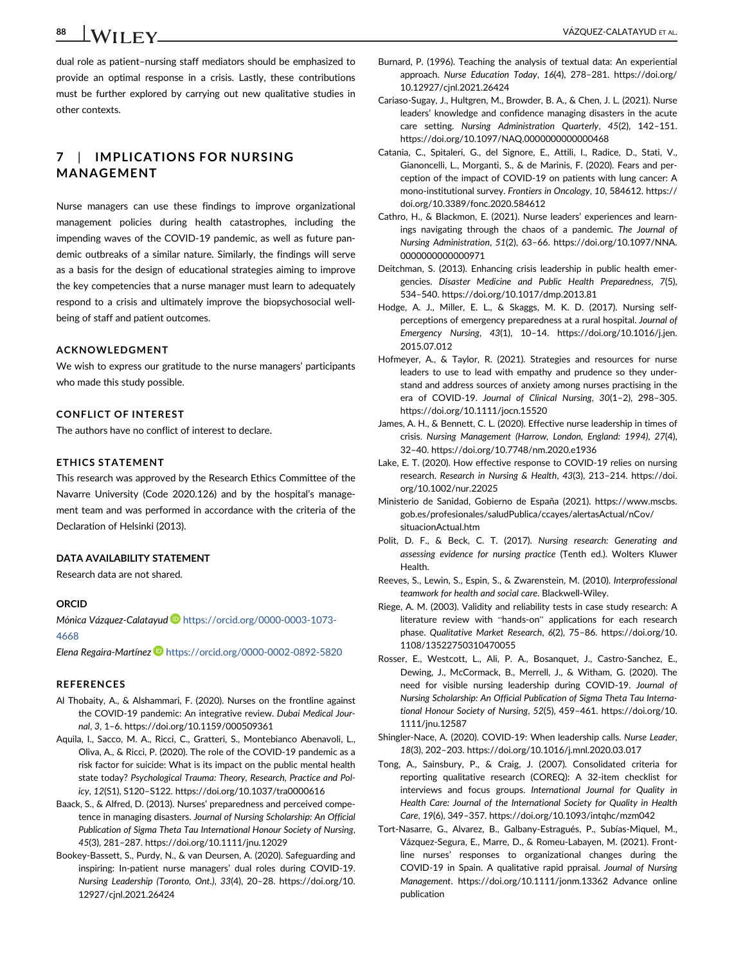dual role as patient–nursing staff mediators should be emphasized to provide an optimal response in a crisis. Lastly, these contributions must be further explored by carrying out new qualitative studies in

# 7 | IMPLICATIONS FOR NURSING MANAGEMENT

Nurse managers can use these findings to improve organizational management policies during health catastrophes, including the impending waves of the COVID-19 pandemic, as well as future pandemic outbreaks of a similar nature. Similarly, the findings will serve as a basis for the design of educational strategies aiming to improve the key competencies that a nurse manager must learn to adequately respond to a crisis and ultimately improve the biopsychosocial wellbeing of staff and patient outcomes.

#### ACKNOWLEDGMENT

We wish to express our gratitude to the nurse managers' participants who made this study possible.

### CONFLICT OF INTEREST

The authors have no conflict of interest to declare.

#### ETHICS STATEMENT

This research was approved by the Research Ethics Committee of the Navarre University (Code 2020.126) and by the hospital's management team and was performed in accordance with the criteria of the Declaration of Helsinki (2013).

#### DATA AVAILABILITY STATEMENT

Research data are not shared.

#### ORCID

[4668](https://orcid.org/0000-0003-1073-4668)

Mónica Vázquez-Calatayud **I**[https://orcid.org/0000-0003-1073-](https://orcid.org/0000-0003-1073-4668)

#### Elena Regaira-Martínez D <https://orcid.org/0000-0002-0892-5820>

#### REFERENCES

- Al Thobaity, A., & Alshammari, F. (2020). Nurses on the frontline against the COVID-19 pandemic: An integrative review. Dubai Medical Journal, 3, 1–6.<https://doi.org/10.1159/000509361>
- Aquila, I., Sacco, M. A., Ricci, C., Gratteri, S., Montebianco Abenavoli, L., Oliva, A., & Ricci, P. (2020). The role of the COVID-19 pandemic as a risk factor for suicide: What is its impact on the public mental health state today? Psychological Trauma: Theory, Research, Practice and Policy, 12(S1), S120–S122.<https://doi.org/10.1037/tra0000616>
- Baack, S., & Alfred, D. (2013). Nurses' preparedness and perceived competence in managing disasters. Journal of Nursing Scholarship: An Official Publication of Sigma Theta Tau International Honour Society of Nursing, 45(3), 281–287.<https://doi.org/10.1111/jnu.12029>
- Bookey-Bassett, S., Purdy, N., & van Deursen, A. (2020). Safeguarding and inspiring: In-patient nurse managers' dual roles during COVID-19. Nursing Leadership (Toronto, Ont.), 33(4), 20–28. [https://doi.org/10.](https://doi.org/10.12927/cjnl.2021.26424) [12927/cjnl.2021.26424](https://doi.org/10.12927/cjnl.2021.26424)
- Burnard, P. (1996). Teaching the analysis of textual data: An experiential approach. Nurse Education Today, 16(4), 278–281. [https://doi.org/](https://doi.org/10.12927/cjnl.2021.26424) [10.12927/cjnl.2021.26424](https://doi.org/10.12927/cjnl.2021.26424)
- Cariaso-Sugay, J., Hultgren, M., Browder, B. A., & Chen, J. L. (2021). Nurse leaders' knowledge and confidence managing disasters in the acute care setting. Nursing Administration Quarterly, 45(2), 142–151. <https://doi.org/10.1097/NAQ.0000000000000468>
- Catania, C., Spitaleri, G., del Signore, E., Attili, I., Radice, D., Stati, V., Gianoncelli, L., Morganti, S., & de Marinis, F. (2020). Fears and perception of the impact of COVID-19 on patients with lung cancer: A mono-institutional survey. Frontiers in Oncology, 10, 584612. [https://](https://doi.org/10.3389/fonc.2020.584612) [doi.org/10.3389/fonc.2020.584612](https://doi.org/10.3389/fonc.2020.584612)
- Cathro, H., & Blackmon, E. (2021). Nurse leaders' experiences and learnings navigating through the chaos of a pandemic. The Journal of Nursing Administration, 51(2), 63–66. [https://doi.org/10.1097/NNA.](https://doi.org/10.1097/NNA.0000000000000971) [0000000000000971](https://doi.org/10.1097/NNA.0000000000000971)
- Deitchman, S. (2013). Enhancing crisis leadership in public health emergencies. Disaster Medicine and Public Health Preparedness, 7(5), 534–540.<https://doi.org/10.1017/dmp.2013.81>
- Hodge, A. J., Miller, E. L., & Skaggs, M. K. D. (2017). Nursing selfperceptions of emergency preparedness at a rural hospital. Journal of Emergency Nursing, 43(1), 10–14. [https://doi.org/10.1016/j.jen.](https://doi.org/10.1016/j.jen.2015.07.012) [2015.07.012](https://doi.org/10.1016/j.jen.2015.07.012)
- Hofmeyer, A., & Taylor, R. (2021). Strategies and resources for nurse leaders to use to lead with empathy and prudence so they understand and address sources of anxiety among nurses practising in the era of COVID-19. Journal of Clinical Nursing, 30(1–2), 298–305. <https://doi.org/10.1111/jocn.15520>
- James, A. H., & Bennett, C. L. (2020). Effective nurse leadership in times of crisis. Nursing Management (Harrow, London, England: 1994), 27(4), 32–40.<https://doi.org/10.7748/nm.2020.e1936>
- Lake, E. T. (2020). How effective response to COVID-19 relies on nursing research. Research in Nursing & Health, 43(3), 213–214. [https://doi.](https://doi.org/10.1002/nur.22025) [org/10.1002/nur.22025](https://doi.org/10.1002/nur.22025)
- Ministerio de Sanidad, Gobierno de España (2021). [https://www.mscbs.](https://www.mscbs.gob.es/profesionales/saludPublica/ccayes/alertasActual/nCov/situacionActual.htm) [gob.es/profesionales/saludPublica/ccayes/alertasActual/nCov/](https://www.mscbs.gob.es/profesionales/saludPublica/ccayes/alertasActual/nCov/situacionActual.htm) [situacionActual.htm](https://www.mscbs.gob.es/profesionales/saludPublica/ccayes/alertasActual/nCov/situacionActual.htm)
- Polit, D. F., & Beck, C. T. (2017). Nursing research: Generating and assessing evidence for nursing practice (Tenth ed.). Wolters Kluwer **Health**
- Reeves, S., Lewin, S., Espin, S., & Zwarenstein, M. (2010). Interprofessional teamwork for health and social care. Blackwell-Wiley.
- Riege, A. M. (2003). Validity and reliability tests in case study research: A literature review with "hands-on" applications for each research phase. Qualitative Market Research, 6(2), 75–86. [https://doi.org/10.](https://doi.org/10.1108/13522750310470055) [1108/13522750310470055](https://doi.org/10.1108/13522750310470055)
- Rosser, E., Westcott, L., Ali, P. A., Bosanquet, J., Castro-Sanchez, E., Dewing, J., McCormack, B., Merrell, J., & Witham, G. (2020). The need for visible nursing leadership during COVID-19. Journal of Nursing Scholarship: An Official Publication of Sigma Theta Tau International Honour Society of Nursing, 52(5), 459–461. [https://doi.org/10.](https://doi.org/10.1111/jnu.12587) [1111/jnu.12587](https://doi.org/10.1111/jnu.12587)
- Shingler-Nace, A. (2020). COVID-19: When leadership calls. Nurse Leader, 18(3), 202–203.<https://doi.org/10.1016/j.mnl.2020.03.017>
- Tong, A., Sainsbury, P., & Craig, J. (2007). Consolidated criteria for reporting qualitative research (COREQ): A 32-item checklist for interviews and focus groups. International Journal for Quality in Health Care: Journal of the International Society for Quality in Health Care, 19(6), 349–357.<https://doi.org/10.1093/intqhc/mzm042>
- Tort-Nasarre, G., Alvarez, B., Galbany-Estragués, P., Subías-Miquel, M., Vázquez-Segura, E., Marre, D., & Romeu-Labayen, M. (2021). Frontline nurses' responses to organizational changes during the COVID-19 in Spain. A qualitative rapid ppraisal. Journal of Nursing Management.<https://doi.org/10.1111/jonm.13362> Advance online publication

other contexts.